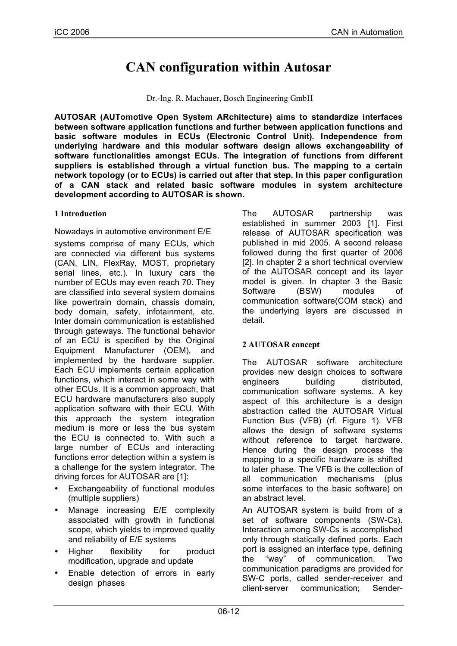# **CAN configuration within Autosar**

Dr.-Ing. R. Machauer, Bosch Engineering GmbH

**AUTOSAR (AUTomotive Open System ARchitecture) aims to standardize interfaces between software application functions and further between application functions and basic software modules in ECUs (Electronic Control Unit). Independence from underlying hardware and this modular software design allows exchangeability of software functionalities amongst ECUs. The integration of functions from different suppliers is established through a virtual function bus. The mapping to a certain network topology (or to ECUs) is carried out after that step. In this paper configuration of a CAN stack and related basic software modules in system architecture development according to AUTOSAR is shown.**

#### **1 Introduction**

Nowadays in automotive environment E/E

systems comprise of many ECUs, which are connected via different bus systems (CAN, LIN, FlexRay, MOST, proprietary serial lines, etc.). In luxury cars the number of ECUs may even reach 70. They are classified into several system domains like powertrain domain, chassis domain, body domain, safety, infotainment, etc. Inter domain communication is established through gateways. The functional behavior of an ECU is specified by the Original Equipment Manufacturer (OEM), and implemented by the hardware supplier. Each ECU implements certain application functions, which interact in some way with other ECUs. It is a common approach, that ECU hardware manufacturers also supply application software with their ECU. With this approach the system integration medium is more or less the bus system the ECU is connected to. With such a large number of ECUs and interacting functions error detection within a system is a challenge for the system integrator. The driving forces for AUTOSAR are [1]:

- Exchangeability of functional modules (multiple suppliers)
- Manage increasing E/E complexity associated with growth in functional scope, which yields to improved quality and reliability of E/E systems
- Higher flexibility for product modification, upgrade and update
- Enable detection of errors in early design phases

The AUTOSAR partnership was established in summer 2003 [1]. First release of AUTOSAR specification was published in mid 2005. A second release followed during the first quarter of 2006 [2]. In chapter 2 a short technical overview of the AUTOSAR concept and its layer model is given. In chapter 3 the Basic Software (BSW) modules of communication software(COM stack) and the underlying layers are discussed in detail.

## **2 AUTOSAR concept**

The AUTOSAR software architecture provides new design choices to software engineers building distributed, communication software systems. A key aspect of this architecture is a design abstraction called the AUTOSAR Virtual Function Bus (VFB) (rf. Figure 1). VFB allows the design of software systems without reference to target hardware. Hence during the design process the mapping to a specific hardware is shifted to later phase. The VFB is the collection of all communication mechanisms (plus some interfaces to the basic software) on an abstract level.

An AUTOSAR system is build from of a set of software components (SW-Cs). Interaction among SW-Cs is accomplished only through statically defined ports. Each port is assigned an interface type, defining the "way" of communication. Two communication paradigms are provided for SW-C ports, called sender-receiver and client-server communication; Sender-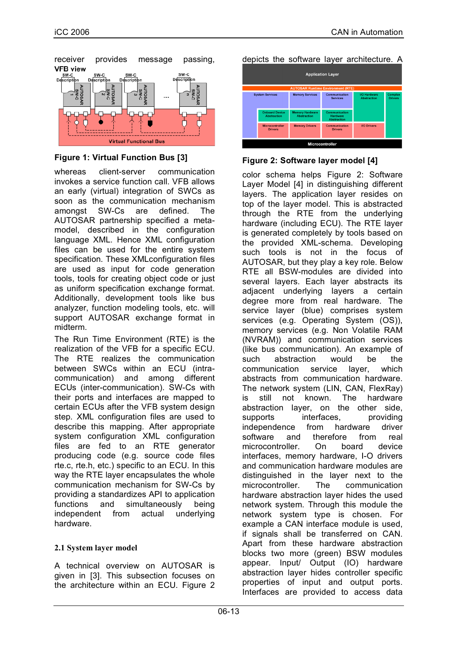

## **Figure 1: Virtual Function Bus [3]**

whereas client-server communication invokes a service function call. VFB allows an early (virtual) integration of SWCs as soon as the communication mechanism amongst SW-Cs are defined. The AUTOSAR partnership specified a metamodel, described in the configuration language XML. Hence XML configuration files can be used for the entire system specification. These XMLconfiguration files are used as input for code generation tools, tools for creating object code or just as uniform specification exchange format. Additionally, development tools like bus analyzer, function modeling tools, etc. will support AUTOSAR exchange format in midterm.

The Run Time Environment (RTE) is the realization of the VFB for a specific ECU. The RTE realizes the communication between SWCs within an ECU (intracommunication) and among different ECUs (inter-communication). SW-Cs with their ports and interfaces are mapped to certain ECUs after the VFB system design step. XML configuration files are used to describe this mapping. After appropriate system configuration XML configuration files are fed to an RTE generator producing code (e.g. source code files rte.c, rte.h, etc.) specific to an ECU. In this way the RTE layer encapsulates the whole communication mechanism for SW-Cs by providing a standardizes API to application functions and simultaneously being independent from actual underlying hardware.

## **2.1 System layer model**

A technical overview on AUTOSAR is given in [3]. This subsection focuses on the architecture within an ECU. Figure 2 depicts the software layer architecture. A

| <b>Application Layer</b><br><b>AUTOSAR Runtime Environment (RTE)</b> |                                             |                                              |                                                        |                                           |                                  |  |  |
|----------------------------------------------------------------------|---------------------------------------------|----------------------------------------------|--------------------------------------------------------|-------------------------------------------|----------------------------------|--|--|
|                                                                      | <b>System Services</b>                      | <b>Memory Services</b>                       | Communication<br><b>Services</b>                       | <b>I/O Hardware</b><br><b>Abstraction</b> | <b>Complex</b><br><b>Drivers</b> |  |  |
|                                                                      | <b>Onboard Device</b><br><b>Abstraction</b> | <b>Memory Hardware</b><br><b>Abstraction</b> | Communication<br><b>Hardware</b><br><b>Abstraction</b> |                                           |                                  |  |  |
|                                                                      | <b>Microcontroller</b><br><b>Drivers</b>    | <b>Memory Drivers</b>                        | <b>Communication</b><br><b>Drivers</b>                 | <b>I/O Drivers</b>                        |                                  |  |  |
| Microcontroller                                                      |                                             |                                              |                                                        |                                           |                                  |  |  |

**Figure 2: Software layer model [4]**

color schema helps Figure 2: Software Layer Model [4] in distinguishing different layers. The application layer resides on top of the layer model. This is abstracted through the RTE from the underlying hardware (including ECU). The RTE layer is generated completely by tools based on the provided XML-schema. Developing such tools is not in the focus of AUTOSAR, but they play a key role. Below RTE all BSW-modules are divided into several layers. Each layer abstracts its adjacent underlying layers a certain degree more from real hardware. The service layer (blue) comprises system services (e.g. Operating System (OS)), memory services (e.g. Non Volatile RAM (NVRAM)) and communication services (like bus communication). An example of such abstraction would be the communication service layer, which abstracts from communication hardware. The network system (LIN, CAN, FlexRay) is still not known. The hardware abstraction layer, on the other side, supports interfaces, providing independence from hardware driver software and therefore from real microcontroller. On board device interfaces, memory hardware, I-O drivers and communication hardware modules are distinguished in the layer next to the microcontroller. The communication hardware abstraction layer hides the used network system. Through this module the network system type is chosen. For example a CAN interface module is used, if signals shall be transferred on CAN. Apart from these hardware abstraction blocks two more (green) BSW modules appear. Input/ Output (IO) hardware abstraction layer hides controller specific properties of input and output ports. Interfaces are provided to access data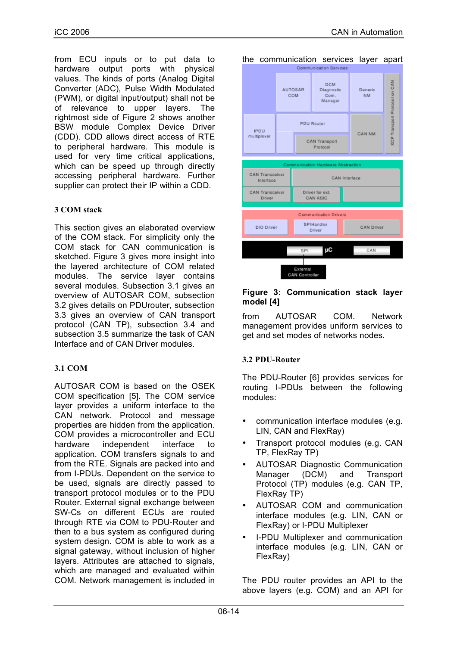from ECU inputs or to put data to hardware output ports with physical values. The kinds of ports (Analog Digital Converter (ADC), Pulse Width Modulated (PWM), or digital input/output) shall not be of relevance to upper layers. The rightmost side of Figure 2 shows another BSW module Complex Device Driver (CDD). CDD allows direct access of RTE to peripheral hardware. This module is used for very time critical applications, which can be speed up through directly accessing peripheral hardware. Further supplier can protect their IP within a CDD.

#### **3 COM stack**

This section gives an elaborated overview of the COM stack. For simplicity only the COM stack for CAN communication is sketched. Figure 3 gives more insight into the layered architecture of COM related modules. The service layer contains several modules. Subsection 3.1 gives an overview of AUTOSAR COM, subsection 3.2 gives details on PDUrouter, subsection 3.3 gives an overview of CAN transport protocol (CAN TP), subsection 3.4 and subsection 3.5 summarize the task of CAN Interface and of CAN Driver modules.

## **3.1 COM**

AUTOSAR COM is based on the OSEK COM specification [5]. The COM service layer provides a uniform interface to the CAN network. Protocol and message properties are hidden from the application. COM provides a microcontroller and ECU hardware independent interface to application. COM transfers signals to and from the RTE. Signals are packed into and from I-PDUs. Dependent on the service to be used, signals are directly passed to transport protocol modules or to the PDU Router. External signal exchange between SW-Cs on different ECUs are routed through RTE via COM to PDU-Router and then to a bus system as configured during system design. COM is able to work as a signal gateway, without inclusion of higher layers. Attributes are attached to signals, which are managed and evaluated within COM. Network management is included in the communication services layer apart



#### **Figure 3: Communication stack layer model [4]**

from AUTOSAR COM. Network management provides uniform services to get and set modes of networks nodes.

#### **3.2 PDU-Router**

The PDU-Router [6] provides services for routing I-PDUs between the following modules:

- communication interface modules (e.g. LIN, CAN and FlexRay)
- Transport protocol modules (e.g. CAN TP, FlexRay TP)
- AUTOSAR Diagnostic Communication<br>
Manager (DCM) and Transport Manager (DCM) and Transport Protocol (TP) modules (e.g. CAN TP, FlexRay TP)
- AUTOSAR COM and communication interface modules (e.g. LIN, CAN or FlexRay) or I-PDU Multiplexer
- I-PDU Multiplexer and communication interface modules (e.g. LIN, CAN or FlexRay)

The PDU router provides an API to the above layers (e.g. COM) and an API for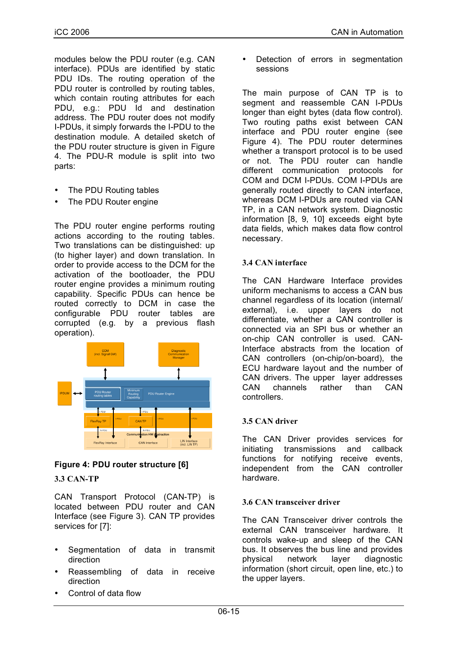modules below the PDU router (e.g. CAN interface). PDUs are identified by static PDU IDs. The routing operation of the PDU router is controlled by routing tables, which contain routing attributes for each PDU, e.g.: PDU Id and destination address. The PDU router does not modify I-PDUs, it simply forwards the I-PDU to the destination module. A detailed sketch of the PDU router structure is given in Figure 4. The PDU-R module is split into two parts:

- The PDU Routing tables
- The PDU Router engine

The PDU router engine performs routing actions according to the routing tables. Two translations can be distinguished: up (to higher layer) and down translation. In order to provide access to the DCM for the activation of the bootloader, the PDU router engine provides a minimum routing capability. Specific PDUs can hence be routed correctly to DCM in case the configurable PDU router tables are corrupted (e.g. by a previous flash operation).





## **3.3 CAN-TP**

CAN Transport Protocol (CAN-TP) is located between PDU router and CAN Interface (see Figure 3). CAN TP provides services for [7]:

- Segmentation of data in transmit direction
- Reassembling of data in receive direction
- Control of data flow

Detection of errors in segmentation sessions

The main purpose of CAN TP is to segment and reassemble CAN I-PDUs longer than eight bytes (data flow control). Two routing paths exist between CAN interface and PDU router engine (see Figure 4). The PDU router determines whether a transport protocol is to be used or not. The PDU router can handle different communication protocols for COM and DCM I-PDUs. COM I-PDUs are generally routed directly to CAN interface, whereas DCM I-PDUs are routed via CAN TP, in a CAN network system. Diagnostic information [8, 9, 10] exceeds eight byte data fields, which makes data flow control necessary.

## **3.4 CAN interface**

The CAN Hardware Interface provides uniform mechanisms to access a CAN bus channel regardless of its location (internal/ external), i.e. upper layers do not differentiate, whether a CAN controller is connected via an SPI bus or whether an on-chip CAN controller is used. CAN-Interface abstracts from the location of CAN controllers (on-chip/on-board), the ECU hardware layout and the number of CAN drivers. The upper layer addresses CAN channels rather than CAN controllers.

## **3.5 CAN driver**

The CAN Driver provides services for initiating transmissions and callback functions for notifying receive events, independent from the CAN controller hardware.

## **3.6 CAN transceiver driver**

The CAN Transceiver driver controls the external CAN transceiver hardware. It controls wake-up and sleep of the CAN bus. It observes the bus line and provides physical network layer diagnostic information (short circuit, open line, etc.) to the upper layers.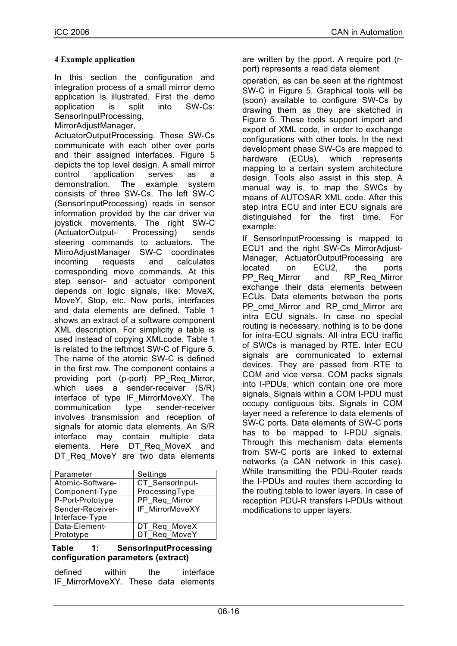#### **4 Example application**

In this section the configuration and integration process of a small mirror demo application is illustrated. First the demo application is split into SW-Cs: SensorInputProcessing,

MirrorAdjustManager,

ActuatorOutputProcessing. These SW-Cs communicate with each other over ports and their assigned interfaces. Figure 5 depicts the top level design. A small mirror control application serves as a demonstration. The example system consists of three SW-Cs. The left SW-C (SensorInputProcessing) reads in sensor information provided by the car driver via joystick movements. The right SW-C (ActuatorOutput- Processing) sends steering commands to actuators. The MirroAdjustManager SW-C coordinates incoming requests and calculates corresponding move commands. At this step sensor- and actuator component depends on logic signals, like: MoveX, MoveY, Stop, etc. Now ports, interfaces and data elements are defined. Table 1 shows an extract of a software component XML description. For simplicity a table is used instead of copying XMLcode. Table 1 is related to the leftmost SW-C of Figure 5. The name of the atomic SW-C is defined in the first row. The component contains a providing port (p-port) PP\_Req\_Mirror, which uses a sender-receiver (S/R) interface of type IF MirrorMoveXY. The communication type sender-receiver involves transmission and reception of signals for atomic data elements. An S/R interface may contain multiple data elements. Here DT Reg MoveX and DT\_Req\_MoveY\_are\_two\_data\_elements

| Parameter        | Settings        |  |  |
|------------------|-----------------|--|--|
| Atomic-Software- | CT SensorInput- |  |  |
| Component-Type   | ProcessingType  |  |  |
| P-Port-Prototype | PP Req Mirror   |  |  |
| Sender-Receiver- | IF MirrorMoveXY |  |  |
| Interface-Type   |                 |  |  |
| Data-Element-    | DT_Req_MoveX    |  |  |
| Prototype        | DT Req MoveY    |  |  |

#### **Table 1: SensorInputProcessing configuration parameters (extract)**

| defined | within | the | interface                            |
|---------|--------|-----|--------------------------------------|
|         |        |     | IF MirrorMoveXY. These data elements |

are written by the pport. A require port (rport) represents a read data element

operation, as can be seen at the rightmost SW-C in Figure 5. Graphical tools will be (soon) available to configure SW-Cs by drawing them as they are sketched in Figure 5. These tools support import and export of XML code, in order to exchange configurations with other tools. In the next development phase SW-Cs are mapped to hardware (ECUs), which represents mapping to a certain system architecture design. Tools also assist in this step. A manual way is, to map the SWCs by means of AUTOSAR XML code. After this step intra ECU and inter ECU signals are distinguished for the first time. For example:

If SensorInputProcessing is mapped to ECU1 and the right SW-Cs MirrorAdjust-Manager, ActuatorOutputProcessing are located on ECU2, the ports PP\_Req\_Mirror and RP\_Req\_Mirror exchange their data elements between ECUs. Data elements between the ports PP\_cmd\_Mirror\_and\_RP\_cmd\_Mirror\_are intra ECU signals. In case no special routing is necessary, nothing is to be done for intra-ECU signals. All intra ECU traffic of SWCs is managed by RTE. Inter ECU signals are communicated to external devices. They are passed from RTE to COM and vice versa. COM packs signals into I-PDUs, which contain one ore more signals. Signals within a COM I-PDU must occupy contiguous bits. Signals in COM layer need a reference to data elements of SW-C ports. Data elements of SW-C ports has to be mapped to I-PDU signals. Through this mechanism data elements from SW-C ports are linked to external networks (a CAN network in this case). While transmitting the PDU-Router reads the I-PDUs and routes them according to the routing table to lower layers. In case of reception PDU-R transfers I-PDUs without modifications to upper layers.